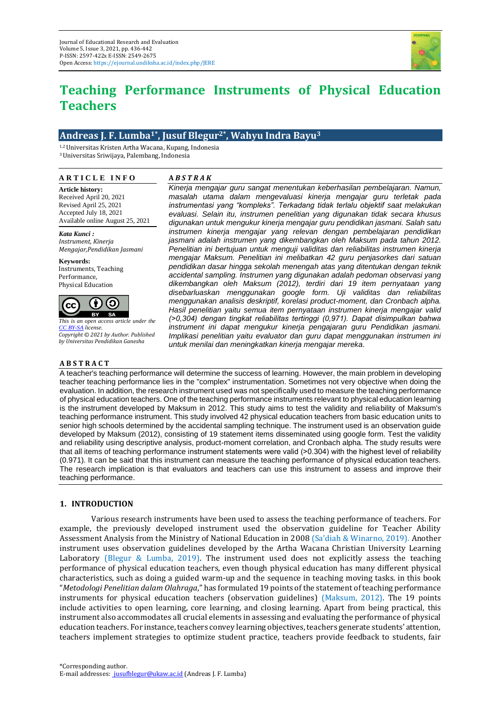

# **Teaching Performance Instruments of Physical Education Teachers**

# **Andreas J. F. Lumba1\* , Jusuf Blegur2\* , Wahyu Indra Bayu<sup>3</sup>**

1,2 Universitas Kristen Artha Wacana, Kupang, Indonesia <sup>3</sup>Universitas Sriwijaya, Palembang, Indonesia

#### **A R T I C L E I N F O**

## **A** *B S T R A K*

**Article history:** Received April 20, 2021 Revised April 25, 2021 Accepted July 18, 2021 Available online August 25, 2021

*Kata Kunci : Instrument, Kinerja Mengajar,Pendidikan Jasmani*

**Keywords:** Instruments, Teaching Performance, Physical Education



*This is an open access article under the [CC BY-SA](https://creativecommons.org/licenses/by-sa/4.0/) license. Copyright © 2021 by Author. Published by Universitas Pendidikan Ganesha*

## **A B S T R A C T**

*Kinerja mengajar guru sangat menentukan keberhasilan pembelajaran. Namun, masalah utama dalam mengevaluasi kinerja mengajar guru terletak pada instrumentasi yang "kompleks". Terkadang tidak terlalu objektif saat melakukan evaluasi. Selain itu, instrumen penelitian yang digunakan tidak secara khusus digunakan untuk mengukur kinerja mengajar guru pendidikan jasmani. Salah satu instrumen kinerja mengajar yang relevan dengan pembelajaran pendidikan jasmani adalah instrumen yang dikembangkan oleh Maksum pada tahun 2012. Penelitian ini bertujuan untuk menguji validitas dan reliabilitas instrumen kinerja mengajar Maksum. Penelitian ini melibatkan 42 guru penjasorkes dari satuan pendidikan dasar hingga sekolah menengah atas yang ditentukan dengan teknik accidental sampling. Instrumen yang digunakan adalah pedoman observasi yang dikembangkan oleh Maksum (2012), terdiri dari 19 item pernyataan yang disebarluaskan menggunakan google form. Uji validitas dan reliabilitas menggunakan analisis deskriptif, korelasi product-moment, dan Cronbach alpha. Hasil penelitian yaitu semua item pernyataan instrumen kinerja mengajar valid (˃0,304) dengan tingkat reliabilitas tertinggi (0,971). Dapat disimpulkan bahwa instrument ini dapat mengukur kinerja pengajaran guru Pendidikan jasmani. Implikasi penelitian yaitu evaluator dan guru dapat menggunakan instrumen ini untuk menilai dan meningkatkan kinerja mengajar mereka.*

A teacher's teaching performance will determine the success of learning. However, the main problem in developing teacher teaching performance lies in the "complex" instrumentation. Sometimes not very objective when doing the evaluation. In addition, the research instrument used was not specifically used to measure the teaching performance of physical education teachers. One of the teaching performance instruments relevant to physical education learning is the instrument developed by Maksum in 2012. This study aims to test the validity and reliability of Maksum's teaching performance instrument. This study involved 42 physical education teachers from basic education units to senior high schools determined by the accidental sampling technique. The instrument used is an observation guide developed by Maksum (2012), consisting of 19 statement items disseminated using google form. Test the validity and reliability using descriptive analysis, product-moment correlation, and Cronbach alpha. The study results were that all items of teaching performance instrument statements were valid (>0.304) with the highest level of reliability (0.971). It can be said that this instrument can measure the teaching performance of physical education teachers. The research implication is that evaluators and teachers can use this instrument to assess and improve their teaching performance.

# **1. INTRODUCTION**

Various research instruments have been used to assess the teaching performance of teachers. For example, the previously developed instrument used the observation guideline for Teacher Ability Assessment Analysis from the Ministry of National Education in 2008 (Sa'diah & Winarno, 2019). Another instrument uses observation guidelines developed by the Artha Wacana Christian University Learning Laboratory (Blegur & Lumba, 2019). The instrument used does not explicitly assess the teaching performance of physical education teachers, even though physical education has many different physical characteristics, such as doing a guided warm-up and the sequence in teaching moving tasks. in this book "*Metodologi Penelitian dalam Olahraga*," has formulated 19 points of the statement of teaching performance instruments for physical education teachers (observation guidelines) (Maksum, 2012). The 19 points include activities to open learning, core learning, and closing learning. Apart from being practical, this instrument also accommodates all crucial elements in assessing and evaluating the performance of physical education teachers. For instance, teachers convey learning objectives, teachers generate students' attention, teachers implement strategies to optimize student practice, teachers provide feedback to students, fair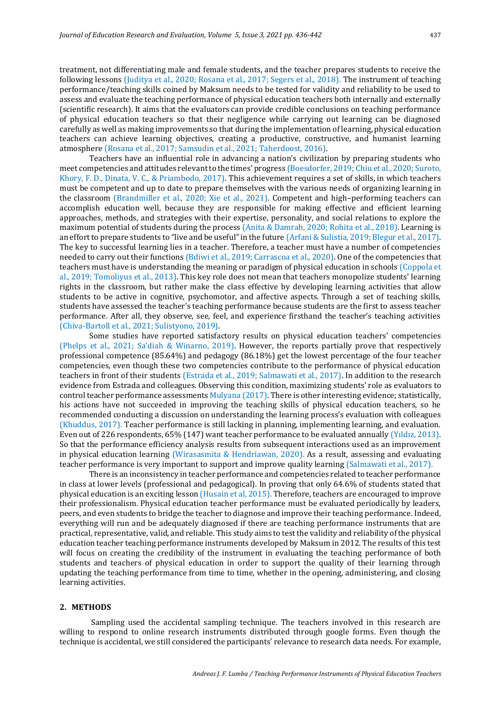treatment, not differentiating male and female students, and the teacher prepares students to receive the following lessons (Juditya et al., 2020; Rosana et al., 2017; Segers et al., 2018). The instrument of teaching performance/teaching skills coined by Maksum needs to be tested for validity and reliability to be used to assess and evaluate the teaching performance of physical education teachers both internally and externally (scientific research). It aims that the evaluators can provide credible conclusions on teaching performance of physical education teachers so that their negligence while carrying out learning can be diagnosed carefully as well as making improvements so that during the implementation of learning, physical education teachers can achieve learning objectives, creating a productive, constructive, and humanist learning atmosphere (Rosana et al., 2017; Samsudin et al., 2021; Taherdoost, 2016).

Teachers have an influential role in advancing a nation's civilization by preparing students who meet competencies and attitudes relevant to the times' progress (Boesdorfer, 2019; Chiu et al., 2020; Suroto, Khory, F. D., Dinata, V. C., & Priambodo, 2017). This achievement requires a set of skills, in which teachers must be competent and up to date to prepare themselves with the various needs of organizing learning in the classroom (Brandmiller et al., 2020; Xie et al., 2021). Competent and high–performing teachers can accomplish education well, because they are responsible for making effective and efficient learning approaches, methods, and strategies with their expertise, personality, and social relations to explore the maximum potential of students during the process (Anita & Damrah, 2020; Rohita et al., 2018). Learning is an effort to prepare students to "live and be useful" in the future (Arfani & Sulistia, 2019; Blegur et al., 2017). The key to successful learning lies in a teacher. Therefore, a teacher must have a number of competencies needed to carry out their functions (Bdiwi et al., 2019; Carrascoa et al., 2020). One of the competencies that teachers must have is understanding the meaning or paradigm of physical education in schools (Coppola et al., 2019; Tomoliyus et al., 2013). This key role does not mean that teachers monopolize students' learning rights in the classroom, but rather make the class effective by developing learning activities that allow students to be active in cognitive, psychomotor, and affective aspects. Through a set of teaching skills, students have assessed the teacher's teaching performance because students are the first to assess teacher performance. After all, they observe, see, feel, and experience firsthand the teacher's teaching activities (Chiva-Bartoll et al., 2021; Sulistyono, 2019).

Some studies have reported satisfactory results on physical education teachers' competencies (Phelps et al., 2021; Sa'diah & Winarno, 2019). However, the reports partially prove that respectively professional competence (85.64%) and pedagogy (86.18%) get the lowest percentage of the four teacher competencies, even though these two competencies contribute to the performance of physical education teachers in front of their students (Estrada et al., 2019; Salmawati et al., 2017). In addition to the research evidence from Estrada and colleagues. Observing this condition, maximizing students' role as evaluators to control teacher performance assessments Mulyana (2017). There is other interesting evidence; statistically, his actions have not succeeded in improving the teaching skills of physical education teachers, so he recommended conducting a discussion on understanding the learning process's evaluation with colleagues (Khuddus, 2017). Teacher performance is still lacking in planning, implementing learning, and evaluation. Even out of 226 respondents, 65% (147) want teacher performance to be evaluated annually (Yıldız, 2013). So that the performance efficiency analysis results from subsequent interactions used as an improvement in physical education learning (Wirasasmita & Hendriawan, 2020). As a result, assessing and evaluating teacher performance is very important to support and improve quality learning (Salmawati et al., 2017).

There is an inconsistency in teacher performance and competencies related to teacher performance in class at lower levels (professional and pedagogical). In proving that only 64.6% of students stated that physical education is an exciting lesson (Husain et al, 2015). Therefore, teachers are encouraged to improve their professionalism. Physical education teacher performance must be evaluated periodically by leaders, peers, and even students to bridge the teacher to diagnose and improve their teaching performance. Indeed, everything will run and be adequately diagnosed if there are teaching performance instruments that are practical, representative, valid, and reliable. This study aims to test the validity and reliability of the physical education teacher teaching performance instruments developed by Maksum in 2012. The results of this test will focus on creating the credibility of the instrument in evaluating the teaching performance of both students and teachers of physical education in order to support the quality of their learning through updating the teaching performance from time to time, whether in the opening, administering, and closing learning activities.

#### **2. METHODS**

Sampling used the accidental sampling technique. The teachers involved in this research are willing to respond to online research instruments distributed through google forms. Even though the technique is accidental, we still considered the participants' relevance to research data needs. For example,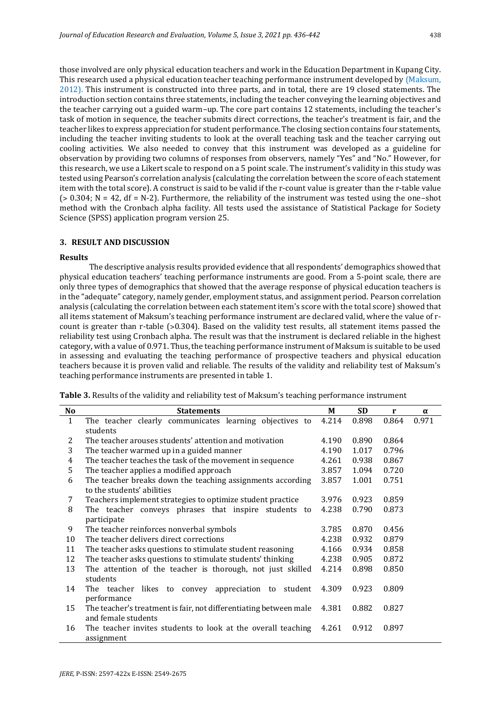those involved are only physical education teachers and work in the Education Department in Kupang City. This research used a physical education teacher teaching performance instrument developed by (Maksum, 2012). This instrument is constructed into three parts, and in total, there are 19 closed statements. The introduction section contains three statements, including the teacher conveying the learning objectives and the teacher carrying out a guided warm–up. The core part contains 12 statements, including the teacher's task of motion in sequence, the teacher submits direct corrections, the teacher's treatment is fair, and the teacher likes to express appreciation for student performance. The closing section contains four statements, including the teacher inviting students to look at the overall teaching task and the teacher carrying out cooling activities. We also needed to convey that this instrument was developed as a guideline for observation by providing two columns of responses from observers, namely "Yes" and "No." However, for this research, we use a Likert scale to respond on a 5 point scale. The instrument's validity in this study was tested using Pearson's correlation analysis (calculating the correlation between the score of each statement item with the total score). A construct is said to be valid if the r-count value is greater than the r-table value  $(> 0.304; N = 42, df = N-2)$ . Furthermore, the reliability of the instrument was tested using the one–shot method with the Cronbach alpha facility. All tests used the assistance of Statistical Package for Society Science (SPSS) application program version 25.

#### **3. RESULT AND DISCUSSION**

#### **Results**

The descriptive analysis results provided evidence that all respondents' demographics showed that physical education teachers' teaching performance instruments are good. From a 5-point scale, there are only three types of demographics that showed that the average response of physical education teachers is in the "adequate" category, namely gender, employment status, and assignment period. Pearson correlation analysis (calculating the correlation between each statement item's score with the total score) showed that all items statement of Maksum's teaching performance instrument are declared valid, where the value of rcount is greater than r-table (>0.304). Based on the validity test results, all statement items passed the reliability test using Cronbach alpha. The result was that the instrument is declared reliable in the highest category, with a value of 0.971. Thus, the teaching performance instrument of Maksum is suitable to be used in assessing and evaluating the teaching performance of prospective teachers and physical education teachers because it is proven valid and reliable. The results of the validity and reliability test of Maksum's teaching performance instruments are presented in table 1.

| No             | <b>Statements</b>                                                 |       | <b>SD</b> | r     | $\alpha$ |
|----------------|-------------------------------------------------------------------|-------|-----------|-------|----------|
| $\mathbf{1}$   | The teacher clearly communicates learning objectives to           | 4.214 | 0.898     | 0.864 | 0.971    |
|                | students                                                          |       |           |       |          |
| $\overline{2}$ | The teacher arouses students' attention and motivation            | 4.190 | 0.890     | 0.864 |          |
| 3              | The teacher warmed up in a guided manner                          | 4.190 | 1.017     | 0.796 |          |
| 4              | The teacher teaches the task of the movement in sequence          | 4.261 | 0.938     | 0.867 |          |
| 5              | The teacher applies a modified approach                           | 3.857 | 1.094     | 0.720 |          |
| 6              | The teacher breaks down the teaching assignments according        | 3.857 | 1.001     | 0.751 |          |
|                | to the students' abilities                                        |       |           |       |          |
| 7              | Teachers implement strategies to optimize student practice        | 3.976 | 0.923     | 0.859 |          |
| 8              | The teacher conveys phrases that inspire students to              | 4.238 | 0.790     | 0.873 |          |
|                | participate                                                       |       |           |       |          |
| 9              | The teacher reinforces nonverbal symbols                          | 3.785 | 0.870     | 0.456 |          |
| 10             | The teacher delivers direct corrections                           | 4.238 | 0.932     | 0.879 |          |
| 11             | The teacher asks questions to stimulate student reasoning         | 4.166 | 0.934     | 0.858 |          |
| 12             | The teacher asks questions to stimulate students' thinking        | 4.238 | 0.905     | 0.872 |          |
| 13             | The attention of the teacher is thorough, not just skilled        | 4.214 | 0.898     | 0.850 |          |
|                | students                                                          |       |           |       |          |
| 14             | likes to<br>appreciation to<br>The teacher<br>convey<br>student   | 4.309 | 0.923     | 0.809 |          |
|                | performance                                                       |       |           |       |          |
| 15             | The teacher's treatment is fair, not differentiating between male | 4.381 | 0.882     | 0.827 |          |
|                | and female students                                               |       |           |       |          |
| 16             | The teacher invites students to look at the overall teaching      | 4.261 | 0.912     | 0.897 |          |
|                | assignment                                                        |       |           |       |          |

**Table 3.** Results of the validity and reliability test of Maksum's teaching performance instrument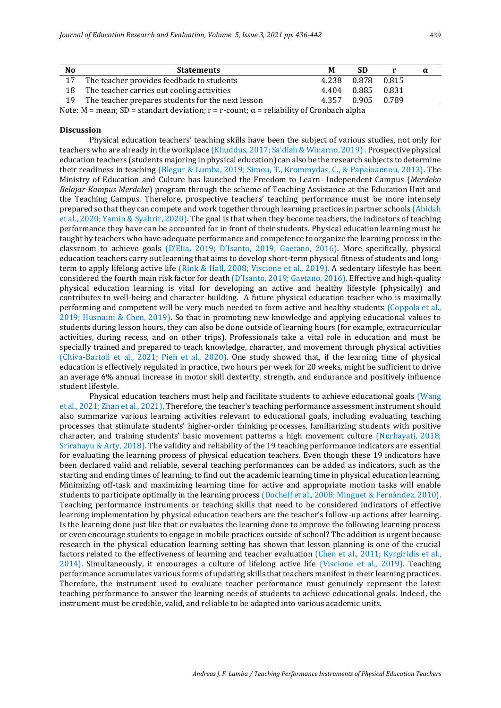| No | <b>Statements</b>                                 |   | м     | SD                | α |
|----|---------------------------------------------------|---|-------|-------------------|---|
| 17 | The teacher provides feedback to students         |   |       | 4.238 0.878 0.815 |   |
|    | The teacher carries out cooling activities        |   |       | 4.404 0.885 0.831 |   |
| 19 | The teacher prepares students for the next lesson |   | 4.357 | 0.905 0.789       |   |
|    |                                                   | . | .     |                   |   |

Note: M = mean; SD = standart deviation;  $r = r$ -count;  $\alpha$  = reliability of Cronbach alpha

#### **Discussion**

Physical education teachers' teaching skills have been the subject of various studies, not only for teachers who are already in the workplace (Khuddus, 2017; Sa'diah & Winarno, 2019). Prospective physical education teachers (students majoring in physical education) can also be the research subjects to determine their readiness in teaching (Blegur & Lumba, 2019; Simou, T., Krommydas, C., & Papaioannou, 2013). The Ministry of Education and Culture has launched the Freedom to Learn- Independent Campus (*Merdeka Belajar-Kampus Merdeka*) program through the scheme of Teaching Assistance at the Education Unit and the Teaching Campus. Therefore, prospective teachers' teaching performance must be more intensely prepared so that they can compete and work together through learning practices in partner schools (Abidah et al., 2020; Yamin & Syahrir, 2020). The goal is that when they become teachers, the indicators of teaching performance they have can be accounted for in front of their students. Physical education learning must be taught by teachers who have adequate performance and competence to organize the learning process in the classroom to achieve goals (D'Elia, 2019; D'Isanto, 2019; Gaetano, 2016). More specifically, physical education teachers carry out learning that aims to develop short-term physical fitness of students and longterm to apply lifelong active life (Rink & Hall, 2008; Viscione et al., 2019). A sedentary lifestyle has been considered the fourth main risk factor for death (D'Isanto, 2019; Gaetano, 2016). Effective and high-quality physical education learning is vital for developing an active and healthy lifestyle (physically) and contributes to well-being and character-building. A future physical education teacher who is maximally performing and competent will be very much needed to form active and healthy students (Coppola et al., 2019; Husnaini & Chen, 2019). So that in promoting new knowledge and applying educational values to students during lesson hours, they can also be done outside of learning hours (for example, extracurricular activities, during recess, and on other trips). Professionals take a vital role in education and must be specially trained and prepared to teach knowledge, character, and movement through physical activities (Chiva-Bartoll et al., 2021; Pieh et al., 2020). One study showed that, if the learning time of physical education is effectively regulated in practice, two hours per week for 20 weeks, might be sufficient to drive an average 6% annual increase in motor skill dexterity, strength, and endurance and positively influence student lifestyle.

Physical education teachers must help and facilitate students to achieve educational goals (Wang et al., 2021; Zhan et al., 2021). Therefore, the teacher's teaching performance assessment instrument should also summarize various learning activities relevant to educational goals, including evaluating teaching processes that stimulate students' higher-order thinking processes, familiarizing students with positive character, and training students' basic movement patterns a high movement culture (Nurhayati, 2018; Srirahayu & Arty, 2018). The validity and reliability of the 19 teaching performance indicators are essential for evaluating the learning process of physical education teachers. Even though these 19 indicators have been declared valid and reliable, several teaching performances can be added as indicators, such as the starting and ending times of learning, to find out the academic learning time in physical education learning. Minimizing off-task and maximizing learning time for active and appropriate motion tasks will enable students to participate optimally in the learning process (Docheff et al., 2008; Minguet & Fernández, 2010). Teaching performance instruments or teaching skills that need to be considered indicators of effective learning implementation by physical education teachers are the teacher's follow-up actions after learning. Is the learning done just like that or evaluates the learning done to improve the following learning process or even encourage students to engage in mobile practices outside of school? The addition is urgent because research in the physical education learning setting has shown that lesson planning is one of the crucial factors related to the effectiveness of learning and teacher evaluation (Chen et al., 2011; Kyrgiridis et al., 2014). Simultaneously, it encourages a culture of lifelong active life (Viscione et al., 2019). Teaching performance accumulates various forms of updating skills that teachers manifest in their learning practices. Therefore, the instrument used to evaluate teacher performance must genuinely represent the latest teaching performance to answer the learning needs of students to achieve educational goals. Indeed, the instrument must be credible, valid, and reliable to be adapted into various academic units.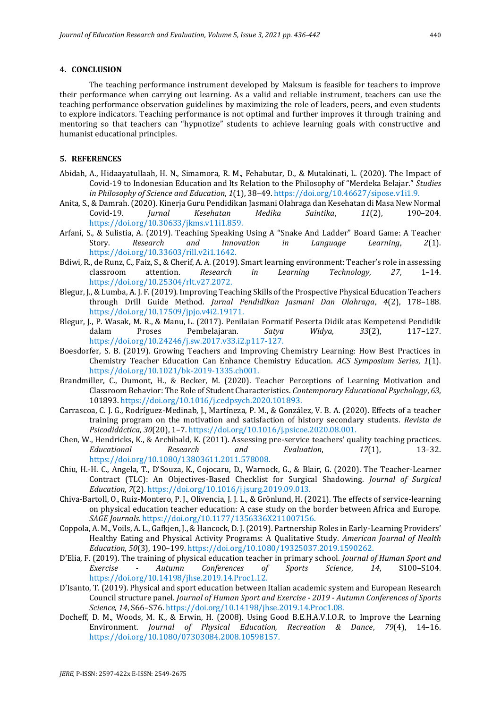## **4. CONCLUSION**

The teaching performance instrument developed by Maksum is feasible for teachers to improve their performance when carrying out learning. As a valid and reliable instrument, teachers can use the teaching performance observation guidelines by maximizing the role of leaders, peers, and even students to explore indicators. Teaching performance is not optimal and further improves it through training and mentoring so that teachers can "hypnotize" students to achieve learning goals with constructive and humanist educational principles.

#### **5. REFERENCES**

- Abidah, A., Hidaayatullaah, H. N., Simamora, R. M., Fehabutar, D., & Mutakinati, L. (2020). The Impact of Covid-19 to Indonesian Education and Its Relation to the Philosophy of "Merdeka Belajar." *Studies in Philosophy of Science and Education*, *1*(1), 38–49. https://doi.org/10.46627/sipose.v1i1.9.
- Anita, S., & Damrah. (2020). Kinerja Guru Pendidikan Jasmani Olahraga dan Kesehatan di Masa New Normal Covid-19. *Jurnal Kesehatan Medika Saintika*, *11*(2), 190–204. https://doi.org/10.30633/jkms.v11i1.859.
- Arfani, S., & Sulistia, A. (2019). Teaching Speaking Using A "Snake And Ladder" Board Game: A Teacher Story. *Research and Innovation in Language Learning*, *2*(1). https://doi.org/10.33603/rill.v2i1.1642.
- Bdiwi, R., de Runz, C., Faiz, S., & Cherif, A. A. (2019). Smart learning environment: Teacher's role in assessing classroom attention. *Research in Learning Technology*, *27*, 1–14. https://doi.org/10.25304/rlt.v27.2072.
- Blegur, J., & Lumba, A. J. F. (2019). Improving Teaching Skills of the Prospective Physical Education Teachers through Drill Guide Method. *Jurnal Pendidikan Jasmani Dan Olahraga*, *4*(2), 178–188. https://doi.org/10.17509/jpjo.v4i2.19171.
- Blegur, J., P. Wasak, M. R., & Manu, L. (2017). Penilaian Formatif Peserta Didik atas Kempetensi Pendidik dalam Proses Pembelajaran. *Satya Widya*, *33*(2), 117–127. https://doi.org/10.24246/j.sw.2017.v33.i2.p117-127.
- Boesdorfer, S. B. (2019). Growing Teachers and Improving Chemistry Learning: How Best Practices in Chemistry Teacher Education Can Enhance Chemistry Education. *ACS Symposium Series*, *1*(1). https://doi.org/10.1021/bk-2019-1335.ch001.
- Brandmiller, C., Dumont, H., & Becker, M. (2020). Teacher Perceptions of Learning Motivation and Classroom Behavior: The Role of Student Characteristics. *Contemporary Educational Psychology*, *63*, 101893. https://doi.org/10.1016/j.cedpsych.2020.101893.
- Carrascoa, C. J. G., Rodríguez-Medinab, J., Martíneza, P. M., & González, V. B. A. (2020). Effects of a teacher training program on the motivation and satisfaction of history secondary students. *Revista de Psicodidáctica*, *30*(20), 1–7. https://doi.org/10.1016/j.psicoe.2020.08.001.
- Chen, W., Hendricks, K., & Archibald, K. (2011). Assessing pre-service teachers' quality teaching practices. *Educational Research and Evaluation*, *17*(1), 13–32. https://doi.org/10.1080/13803611.2011.578008.
- Chiu, H.-H. C., Angela, T., D'Souza, K., Cojocaru, D., Warnock, G., & Blair, G. (2020). The Teacher-Learner Contract (TLC): An Objectives-Based Checklist for Surgical Shadowing. *Journal of Surgical Education*, *7*(2). https://doi.org/10.1016/j.jsurg.2019.09.013.
- Chiva-Bartoll, O., Ruiz-Montero, P. J., Olivencia, J. J. L., & Grönlund, H. (2021). The effects of service-learning on physical education teacher education: A case study on the border between Africa and Europe. *SAGE Journals*. https://doi.org/10.1177/1356336X211007156.
- Coppola, A. M., Voils, A. L., Gafkjen, J., & Hancock, D. J. (2019). Partnership Roles in Early-Learning Providers' Healthy Eating and Physical Activity Programs: A Qualitative Study. *American Journal of Health Education*, *50*(3), 190–199. https://doi.org/10.1080/19325037.2019.1590262.
- D'Elia, F. (2019). The training of physical education teacher in primary school. *Journal of Human Sport and Exercise - Autumn Conferences of Sports Science*, *14*, S100–S104. https://doi.org/10.14198/jhse.2019.14.Proc1.12.
- D'Isanto, T. (2019). Physical and sport education between Italian academic system and European Research Council structure panel. *Journal of Human Sport and Exercise - 2019 - Autumn Conferences of Sports Science*, *14*, S66–S76. https://doi.org/10.14198/jhse.2019.14.Proc1.08.
- Docheff, D. M., Woods, M. K., & Erwin, H. (2008). Using Good B.E.H.A.V.I.O.R. to Improve the Learning Environment. *Journal of Physical Education, Recreation & Dance*, *79*(4), 14–16. https://doi.org/10.1080/07303084.2008.10598157.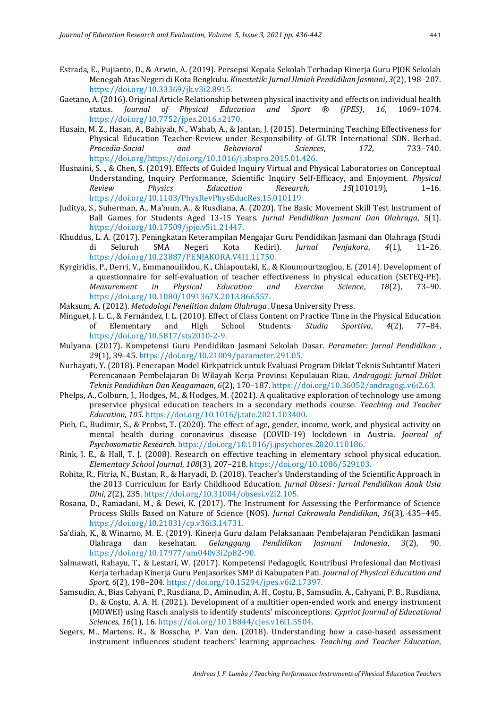- Estrada, E., Pujianto, D., & Arwin, A. (2019). Persepsi Kepala Sekolah Terhadap Kinerja Guru PJOK Sekolah Menegah Atas Negeri di Kota Bengkulu. *Kinestetik: Jurnal Ilmiah Pendidikan Jasmani*, *3*(2), 198–207. https://doi.org/10.33369/jk.v3i2.8915.
- Gaetano, A. (2016). Original Article Relationship between physical inactivity and effects on individual health status. *Journal of Physical Education and Sport ® (JPES)*, *16*, 1069–1074. https://doi.org/10.7752/jpes.2016.s2170.
- Husain, M. Z., Hasan, A., Bahiyah, N., Wahab, A., & Jantan, J. (2015). Determining Teaching Effectiveness for Physical Education Teacher-Review under Responsibility of GLTR International SDN. Berhad. *Procedia-Social and Behavioral Sciences*, *172*, 733–740. https://doi.org/https://doi.org/10.1016/j.sbspro.2015.01.426.
- Husnaini, S. ., & Chen, S. (2019). Effects of Guided Inquiry Virtual and Physical Laboratories on Conceptual Understanding, Inquiry Performance, Scientific Inquiry Self-Efficacy, and Enjoyment. *Physical Review Physics Education Research*, *15*(101019), 1–16. https://doi.org/10.1103/PhysRevPhysEducRes.15.010119.
- Juditya, S., Suherman, A., Ma'mun, A., & Rusdiana, A. (2020). The Basic Movement Skill Test Instrument of Ball Games for Students Aged 13-15 Years. *Jurnal Pendidikan Jasmani Dan Olahraga*, *5*(1). https://doi.org/10.17509/jpjo.v5i1.21447.
- Khuddus, L. A. (2017). Peningkatan Keterampilan Mengajar Guru Pendidikan Jasmani dan Olahraga (Studi di Seluruh SMA Negeri Kota Kediri). *Jurnal Penjakora*, *4*(1), 11–26. https://doi.org/10.23887/PENJAKORA.V4I1.11750.
- Kyrgiridis, P., Derri, V., Emmanouilidou, K., Chlapoutaki, E., & Kioumourtzoglou, E. (2014). Development of a questionnaire for self-evaluation of teacher effectiveness in physical education (SETEQ-PE). *Measurement in Physical Education and Exercise Science*, *18*(2), 73–90. https://doi.org/10.1080/1091367X.2013.866557.
- Maksum, A. (2012). *Metodologi Penelitian dalam Olahraga*. Unesa University Press.
- Minguet, J. L. C., & Fernández, I. L. (2010). Effect of Class Content on Practice Time in the Physical Education of Elementary and High School Students. *Studia Sportiva*, *4*(2), 77–84. https://doi.org/10.5817/sts2010-2-9.
- Mulyana. (2017). Kompetensi Guru Pendidikan Jasmani Sekolah Dasar. *Parameter: Jurnal Pendidikan* , *29*(1), 39–45. https://doi.org/10.21009/parameter.291.05.
- Nurhayati, Y. (2018). Penerapan Model Kirkpatrick untuk Evaluasi Program Diklat Teknis Subtantif Materi Perencanaan Pembelajaran Di Wilayah Kerja Provinsi Kepulauan Riau. *Andragogi: Jurnal Diklat Teknis Pendidikan Dan Keagamaan*, *6*(2), 170–187. https://doi.org/10.36052/andragogi.v6i2.63.
- Phelps, A., Colburn, J., Hodges, M., & Hodges, M. (2021). A qualitative exploration of technology use among preservice physical education teachers in a secondary methods course. *Teaching and Teacher Education*, *105*. https://doi.org/10.1016/j.tate.2021.103400.
- Pieh, C., Budimir, S., & Probst, T. (2020). The effect of age, gender, income, work, and physical activity on mental health during coronavirus disease (COVID-19) lockdown in Austria. *Journal of Psychosomatic Research*. https://doi.org/10.1016/j.jpsychores.2020.110186.
- Rink, J. E., & Hall, T. J. (2008). Research on effective teaching in elementary school physical education. *Elementary School Journal*, *108*(3), 207–218. https://doi.org/10.1086/529103.
- Rohita, R., Fitria, N., Bustan, R., & Haryadi, D. (2018). Teacher's Understanding of the Scientific Approach in the 2013 Curriculum for Early Childhood Education. *Jurnal Obsesi : Jurnal Pendidikan Anak Usia Dini*, *2*(2), 235. https://doi.org/10.31004/obsesi.v2i2.105.
- Rosana, D., Ramadani, M., & Dewi, K. (2017). The Instrument for Assessing the Performance of Science Process Skills Based on Nature of Science (NOS). *Jurnal Cakrawala Pendidikan*, *36*(3), 435–445. https://doi.org/10.21831/cp.v36i3.14731.
- Sa'diah, K., & Winarno, M. E. (2019). Kinerja Guru dalam Pelaksanaan Pembelajaran Pendidikan Jasmani Olahraga dan kesehatan. *Gelanggang Pendidikan Jasmani Indonesia*, *3*(2), 90. https://doi.org/10.17977/um040v3i2p82-90.
- Salmawati, Rahayu, T., & Lestari, W. (2017). Kompetensi Pedagogik, Kontribusi Profesional dan Motivasi Kerja terhadap Kinerja Guru Penjasorkes SMP di Kabupaten Pati. *Journal of Physical Education and Sport*, *6*(2), 198–204. https://doi.org/10.15294/jpes.v6i2.17397.
- Samsudin, A., Bias Cahyani, P., Rusdiana, D., Aminudin, A. H., Coştu, B., Samsudin, A., Cahyani, P. B., Rusdiana, D., & Coştu, A. A. H. (2021). Development of a multitier open-ended work and energy instrument (MOWEI) using Rasch analysis to identify students' misconceptions. *Cypriot Journal of Educational Sciences*, *16*(1), 16. https://doi.org/10.18844/cjes.v16i1.5504.
- Segers, M., Martens, R., & Bossche, P. Van den. (2018). Understanding how a case-based assessment instrument influences student teachers' learning approaches. *Teaching and Teacher Education*,